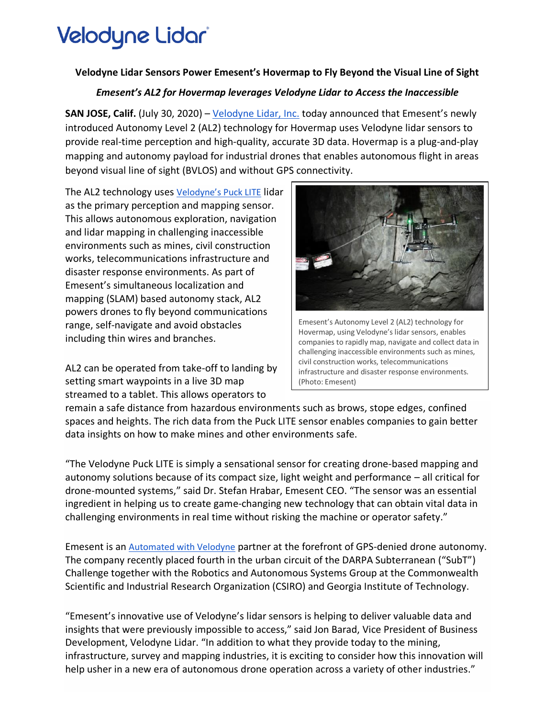# Velodyne Lidar

### **Velodyne Lidar Sensors Power Emesent's Hovermap to Fly Beyond the Visual Line of Sight**

### *Emesent's AL2 for Hovermap leverages Velodyne Lidar to Access the Inaccessible*

**SAN JOSE, Calif.** (July 30, 2020) – [Velodyne Lidar, Inc.](http://www.velodynelidar.com/) today announced that Emesent's newly introduced Autonomy Level 2 (AL2) technology for Hovermap uses Velodyne lidar sensors to provide real-time perception and high-quality, accurate 3D data. Hovermap is a plug-and-play mapping and autonomy payload for industrial drones that enables autonomous flight in areas beyond visual line of sight (BVLOS) and without GPS connectivity.

The AL2 technology uses [Velodyne's Puck LITE](https://cts.businesswire.com/ct/CT?id=smartlink&url=https%3A%2F%2Fvelodynelidar.com%2Fproducts%2Fpuck-lite%2F&esheet=52258333&newsitemid=20200730005182&lan=en-US&anchor=Velodyne%26%238217%3Bs+Puck+LITE&index=2&md5=203b25f9ed436806df7ab23b77def02b) lidar as the primary perception and mapping sensor. This allows autonomous exploration, navigation and lidar mapping in challenging inaccessible environments such as mines, civil construction works, telecommunications infrastructure and disaster response environments. As part of Emesent's simultaneous localization and mapping (SLAM) based autonomy stack, AL2 powers drones to fly beyond communications range, self-navigate and avoid obstacles including thin wires and branches.

AL2 can be operated from take-off to landing by setting smart waypoints in a live 3D map streamed to a tablet. This allows operators to



Emesent's Autonomy Level 2 (AL2) technology for Hovermap, using Velodyne's lidar sensors, enables companies to rapidly map, navigate and collect data in challenging inaccessible environments such as mines, civil construction works, telecommunications infrastructure and disaster response environments. (Photo: Emesent)

remain a safe distance from hazardous environments such as brows, stope edges, confined spaces and heights. The rich data from the Puck LITE sensor enables companies to gain better data insights on how to make mines and other environments safe.

"The Velodyne Puck LITE is simply a sensational sensor for creating drone-based mapping and autonomy solutions because of its compact size, light weight and performance – all critical for drone-mounted systems," said Dr. Stefan Hrabar, Emesent CEO. "The sensor was an essential ingredient in helping us to create game-changing new technology that can obtain vital data in challenging environments in real time without risking the machine or operator safety."

Emesent is an [Automated with Velodyne](https://cts.businesswire.com/ct/CT?id=smartlink&url=https%3A%2F%2Fvelodynelidar.com%2Fautomated-with-velodyne%2F&esheet=52258333&newsitemid=20200730005182&lan=en-US&anchor=Automated+with+Velodyne&index=3&md5=2dfe0851e84ae07d598672c598b44786) partner at the forefront of GPS-denied drone autonomy. The company recently placed fourth in the urban circuit of the DARPA Subterranean ("SubT") Challenge together with the Robotics and Autonomous Systems Group at the Commonwealth Scientific and Industrial Research Organization (CSIRO) and Georgia Institute of Technology.

"Emesent's innovative use of Velodyne's lidar sensors is helping to deliver valuable data and insights that were previously impossible to access," said Jon Barad, Vice President of Business Development, Velodyne Lidar. "In addition to what they provide today to the mining, infrastructure, survey and mapping industries, it is exciting to consider how this innovation will help usher in a new era of autonomous drone operation across a variety of other industries."